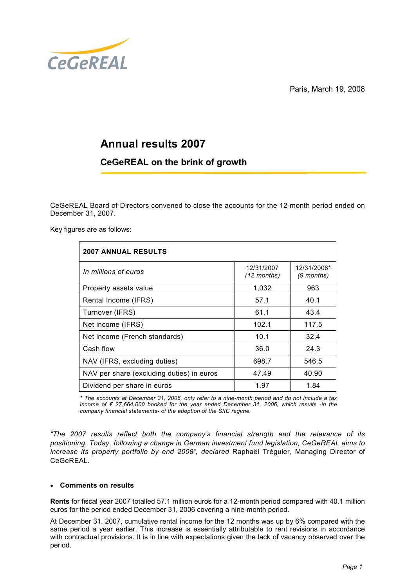Paris, March 19, 2008



# Annual results 2007

# CeGeREAL on the brink of growth

CeGeREAL Board of Directors convened to close the accounts for the 12-month period ended on December 31, 2007.

Key figures are as follows:

| <b>2007 ANNUAL RESULTS</b>                |                                     |                           |
|-------------------------------------------|-------------------------------------|---------------------------|
| In millions of euros                      | 12/31/2007<br>$(12 \text{ months})$ | 12/31/2006*<br>(9 months) |
| Property assets value                     | 1,032                               | 963                       |
| Rental Income (IFRS)                      | 57.1                                | 40.1                      |
| Turnover (IFRS)                           | 61.1                                | 43.4                      |
| Net income (IFRS)                         | 102.1                               | 117.5                     |
| Net income (French standards)             | 10.1                                | 32.4                      |
| Cash flow                                 | 36.0                                | 24.3                      |
| NAV (IFRS, excluding duties)              | 698.7                               | 546.5                     |
| NAV per share (excluding duties) in euros | 47.49                               | 40.90                     |
| Dividend per share in euros               | 1.97                                | 1.84                      |

\* The accounts at December 31, 2006, only refer to a nine-month period and do not include a tax income of  $\epsilon$  27,664,000 booked for the year ended December 31, 2006, which results -in the company financial statements- of the adoption of the SIIC regime.

"The 2007 results reflect both the company's financial strength and the relevance of its positioning. Today, following a change in German investment fund legislation, CeGeREAL aims to increase its property portfolio by end 2008", declared Raphaël Tréguier, Managing Director of CeGeREAL.

# • Comments on results

Rents for fiscal year 2007 totalled 57.1 million euros for a 12-month period compared with 40.1 million euros for the period ended December 31, 2006 covering a nine-month period.

At December 31, 2007, cumulative rental income for the 12 months was up by 6% compared with the same period a year earlier. This increase is essentially attributable to rent revisions in accordance with contractual provisions. It is in line with expectations given the lack of vacancy observed over the period.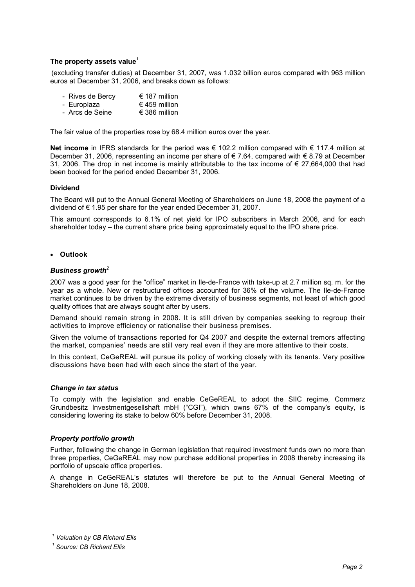### The property assets value<sup>1</sup>

(excluding transfer duties) at December 31, 2007, was 1.032 billion euros compared with 963 million euros at December 31, 2006, and breaks down as follows:

- Rives de Bercy  $\epsilon$  187 million<br>- Europlaza € 459 million
- Europlaza  $€ 459$  million<br>- Arcs de Seine  $€ 386$  million
- $-$  Arcs de Seine

The fair value of the properties rose by 68.4 million euros over the year.

Net income in IFRS standards for the period was € 102.2 million compared with € 117.4 million at December 31, 2006, representing an income per share of € 7.64, compared with € 8.79 at December 31, 2006. The drop in net income is mainly attributable to the tax income of € 27,664,000 that had been booked for the period ended December 31, 2006.

#### Dividend

The Board will put to the Annual General Meeting of Shareholders on June 18, 2008 the payment of a dividend of € 1.95 per share for the year ended December 31, 2007.

This amount corresponds to 6.1% of net yield for IPO subscribers in March 2006, and for each shareholder today – the current share price being approximately equal to the IPO share price.

• Outlook

# Business growth<sup>2</sup>

2007 was a good year for the "office" market in Ile-de-France with take-up at 2.7 million sq. m. for the year as a whole. New or restructured offices accounted for 36% of the volume. The Ile-de-France market continues to be driven by the extreme diversity of business segments, not least of which good quality offices that are always sought after by users.

Demand should remain strong in 2008. It is still driven by companies seeking to regroup their activities to improve efficiency or rationalise their business premises.

Given the volume of transactions reported for Q4 2007 and despite the external tremors affecting the market, companies' needs are still very real even if they are more attentive to their costs.

In this context, CeGeREAL will pursue its policy of working closely with its tenants. Very positive discussions have been had with each since the start of the year.

#### Change in tax status

To comply with the legislation and enable CeGeREAL to adopt the SIIC regime, Commerz Grundbesitz Investmentgesellshaft mbH ("CGI"), which owns 67% of the company's equity, is considering lowering its stake to below 60% before December 31, 2008.

#### Property portfolio growth

Further, following the change in German legislation that required investment funds own no more than three properties, CeGeREAL may now purchase additional properties in 2008 thereby increasing its portfolio of upscale office properties.

A change in CeGeREAL's statutes will therefore be put to the Annual General Meeting of Shareholders on June 18, 2008.

 $1$  Valuation by CB Richard Elis

<sup>&</sup>lt;sup>1</sup> Source: CB Richard Ellis